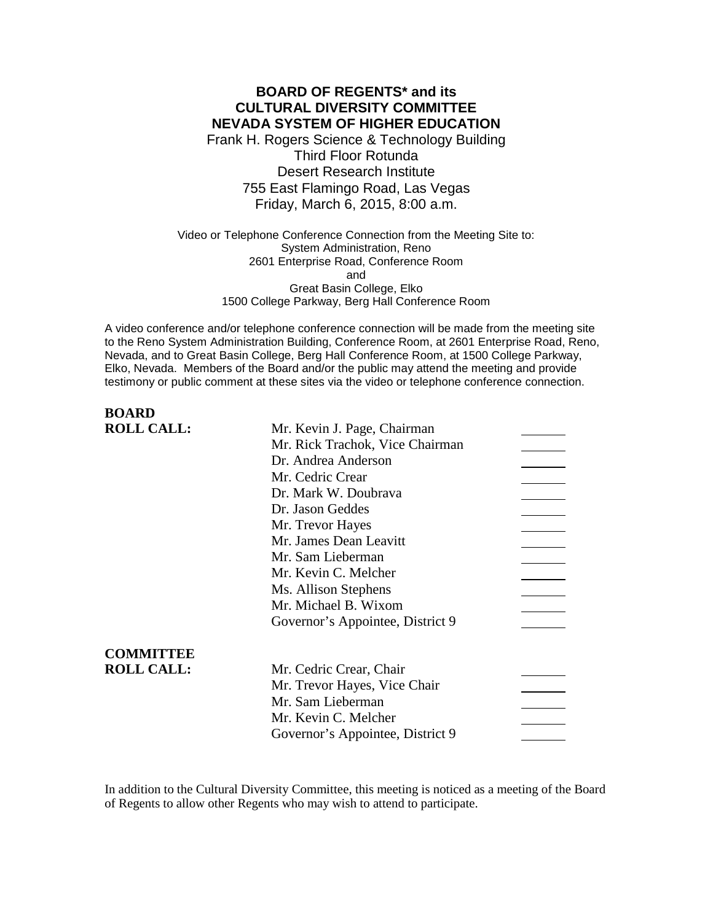# **BOARD OF REGENTS\* and its CULTURAL DIVERSITY COMMITTEE NEVADA SYSTEM OF HIGHER EDUCATION**

Frank H. Rogers Science & Technology Building Third Floor Rotunda Desert Research Institute 755 East Flamingo Road, Las Vegas Friday, March 6, 2015, 8:00 a.m.

Video or Telephone Conference Connection from the Meeting Site to: System Administration, Reno 2601 Enterprise Road, Conference Room and Great Basin College, Elko 1500 College Parkway, Berg Hall Conference Room

A video conference and/or telephone conference connection will be made from the meeting site to the Reno System Administration Building, Conference Room, at 2601 Enterprise Road, Reno, Nevada, and to Great Basin College, Berg Hall Conference Room, at 1500 College Parkway, Elko, Nevada. Members of the Board and/or the public may attend the meeting and provide testimony or public comment at these sites via the video or telephone conference connection.

| <b>ROLL CALL:</b><br>Mr. Kevin J. Page, Chairman<br>Mr. Rick Trachok, Vice Chairman<br>Dr. Andrea Anderson<br>Mr. Cedric Crear<br>Dr. Mark W. Doubrava<br>Dr. Jason Geddes<br>Mr. Trevor Hayes<br>Mr. James Dean Leavitt<br>Mr. Sam Lieberman<br>Mr. Kevin C. Melcher<br>Ms. Allison Stephens<br>Mr. Michael B. Wixom<br>Governor's Appointee, District 9<br><b>COMMITTEE</b><br><b>ROLL CALL:</b><br>Mr. Cedric Crear, Chair<br>Mr. Trevor Hayes, Vice Chair | <b>BOARD</b> |                   |  |
|---------------------------------------------------------------------------------------------------------------------------------------------------------------------------------------------------------------------------------------------------------------------------------------------------------------------------------------------------------------------------------------------------------------------------------------------------------------|--------------|-------------------|--|
|                                                                                                                                                                                                                                                                                                                                                                                                                                                               |              |                   |  |
|                                                                                                                                                                                                                                                                                                                                                                                                                                                               |              |                   |  |
|                                                                                                                                                                                                                                                                                                                                                                                                                                                               |              |                   |  |
|                                                                                                                                                                                                                                                                                                                                                                                                                                                               |              |                   |  |
|                                                                                                                                                                                                                                                                                                                                                                                                                                                               |              |                   |  |
|                                                                                                                                                                                                                                                                                                                                                                                                                                                               |              |                   |  |
|                                                                                                                                                                                                                                                                                                                                                                                                                                                               |              |                   |  |
|                                                                                                                                                                                                                                                                                                                                                                                                                                                               |              |                   |  |
|                                                                                                                                                                                                                                                                                                                                                                                                                                                               |              |                   |  |
|                                                                                                                                                                                                                                                                                                                                                                                                                                                               |              |                   |  |
|                                                                                                                                                                                                                                                                                                                                                                                                                                                               |              |                   |  |
|                                                                                                                                                                                                                                                                                                                                                                                                                                                               |              |                   |  |
|                                                                                                                                                                                                                                                                                                                                                                                                                                                               |              |                   |  |
|                                                                                                                                                                                                                                                                                                                                                                                                                                                               |              |                   |  |
|                                                                                                                                                                                                                                                                                                                                                                                                                                                               |              |                   |  |
|                                                                                                                                                                                                                                                                                                                                                                                                                                                               |              |                   |  |
|                                                                                                                                                                                                                                                                                                                                                                                                                                                               |              | Mr. Sam Lieberman |  |
| Mr. Kevin C. Melcher                                                                                                                                                                                                                                                                                                                                                                                                                                          |              |                   |  |
| Governor's Appointee, District 9                                                                                                                                                                                                                                                                                                                                                                                                                              |              |                   |  |

In addition to the Cultural Diversity Committee, this meeting is noticed as a meeting of the Board of Regents to allow other Regents who may wish to attend to participate.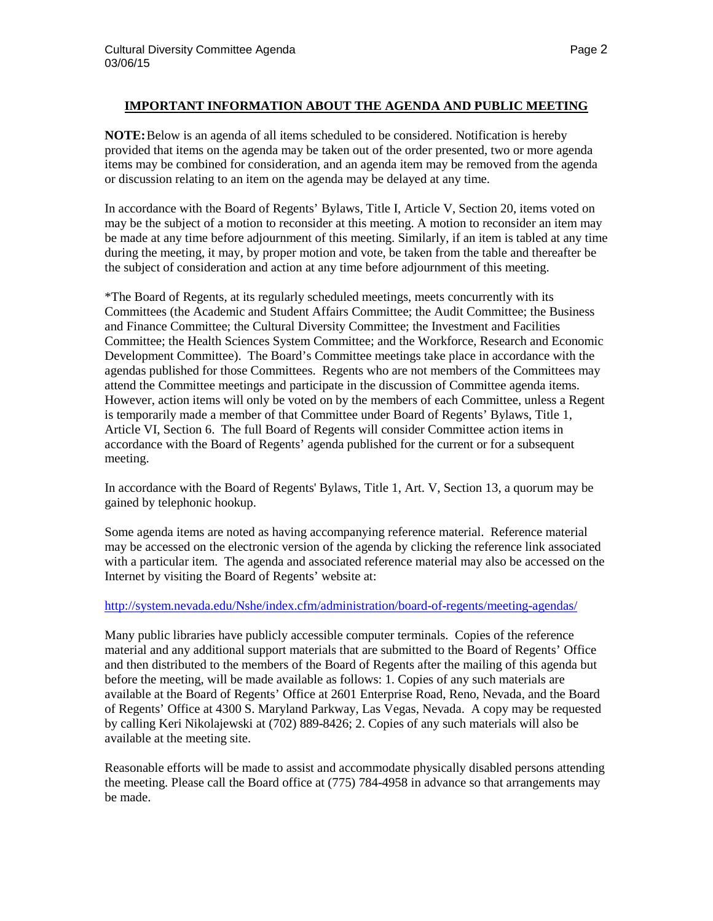### **IMPORTANT INFORMATION ABOUT THE AGENDA AND PUBLIC MEETING**

**NOTE:**Below is an agenda of all items scheduled to be considered. Notification is hereby provided that items on the agenda may be taken out of the order presented, two or more agenda items may be combined for consideration, and an agenda item may be removed from the agenda or discussion relating to an item on the agenda may be delayed at any time.

In accordance with the Board of Regents' Bylaws, Title I, Article V, Section 20, items voted on may be the subject of a motion to reconsider at this meeting. A motion to reconsider an item may be made at any time before adjournment of this meeting. Similarly, if an item is tabled at any time during the meeting, it may, by proper motion and vote, be taken from the table and thereafter be the subject of consideration and action at any time before adjournment of this meeting.

\*The Board of Regents, at its regularly scheduled meetings, meets concurrently with its Committees (the Academic and Student Affairs Committee; the Audit Committee; the Business and Finance Committee; the Cultural Diversity Committee; the Investment and Facilities Committee; the Health Sciences System Committee; and the Workforce, Research and Economic Development Committee). The Board's Committee meetings take place in accordance with the agendas published for those Committees. Regents who are not members of the Committees may attend the Committee meetings and participate in the discussion of Committee agenda items. However, action items will only be voted on by the members of each Committee, unless a Regent is temporarily made a member of that Committee under Board of Regents' Bylaws, Title 1, Article VI, Section 6. The full Board of Regents will consider Committee action items in accordance with the Board of Regents' agenda published for the current or for a subsequent meeting.

In accordance with the Board of Regents' Bylaws, Title 1, Art. V, Section 13, a quorum may be gained by telephonic hookup.

Some agenda items are noted as having accompanying reference material. Reference material may be accessed on the electronic version of the agenda by clicking the reference link associated with a particular item. The agenda and associated reference material may also be accessed on the Internet by visiting the Board of Regents' website at:

### <http://system.nevada.edu/Nshe/index.cfm/administration/board-of-regents/meeting-agendas/>

Many public libraries have publicly accessible computer terminals. Copies of the reference material and any additional support materials that are submitted to the Board of Regents' Office and then distributed to the members of the Board of Regents after the mailing of this agenda but before the meeting, will be made available as follows: 1. Copies of any such materials are available at the Board of Regents' Office at 2601 Enterprise Road, Reno, Nevada, and the Board of Regents' Office at 4300 S. Maryland Parkway, Las Vegas, Nevada. A copy may be requested by calling Keri Nikolajewski at (702) 889-8426; 2. Copies of any such materials will also be available at the meeting site.

Reasonable efforts will be made to assist and accommodate physically disabled persons attending the meeting. Please call the Board office at (775) 784-4958 in advance so that arrangements may be made.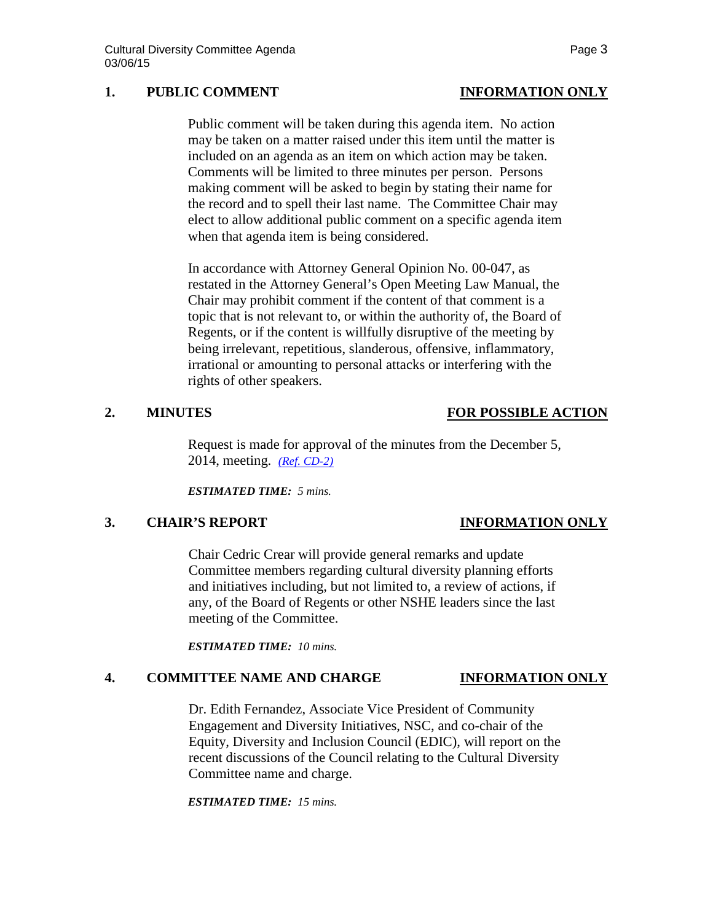# **1. PUBLIC COMMENT INFORMATION ONLY**

Public comment will be taken during this agenda item. No action may be taken on a matter raised under this item until the matter is included on an agenda as an item on which action may be taken. Comments will be limited to three minutes per person. Persons making comment will be asked to begin by stating their name for the record and to spell their last name. The Committee Chair may elect to allow additional public comment on a specific agenda item when that agenda item is being considered.

In accordance with Attorney General Opinion No. 00-047, as restated in the Attorney General's Open Meeting Law Manual, the Chair may prohibit comment if the content of that comment is a topic that is not relevant to, or within the authority of, the Board of Regents, or if the content is willfully disruptive of the meeting by being irrelevant, repetitious, slanderous, offensive, inflammatory, irrational or amounting to personal attacks or interfering with the rights of other speakers.

## **2. MINUTES FOR POSSIBLE ACTION**

Request is made for approval of the minutes from the December 5, 2014, meeting. *[\(Ref. CD-2\)](http://system.nevada.edu/tasks/sites/Nshe/assets/File/BoardOfRegents/Agendas/2015/mar-mtgs/cd-refs/CD-2.pdf)*

*ESTIMATED TIME: 5 mins.*

## **3. CHAIR'S REPORT INFORMATION ONLY**

Chair Cedric Crear will provide general remarks and update Committee members regarding cultural diversity planning efforts and initiatives including, but not limited to, a review of actions, if any, of the Board of Regents or other NSHE leaders since the last meeting of the Committee.

*ESTIMATED TIME: 10 mins.*

# **4. COMMITTEE NAME AND CHARGE INFORMATION ONLY**

Dr. Edith Fernandez, Associate Vice President of Community Engagement and Diversity Initiatives, NSC, and co-chair of the Equity, Diversity and Inclusion Council (EDIC), will report on the recent discussions of the Council relating to the Cultural Diversity Committee name and charge.

*ESTIMATED TIME: 15 mins.*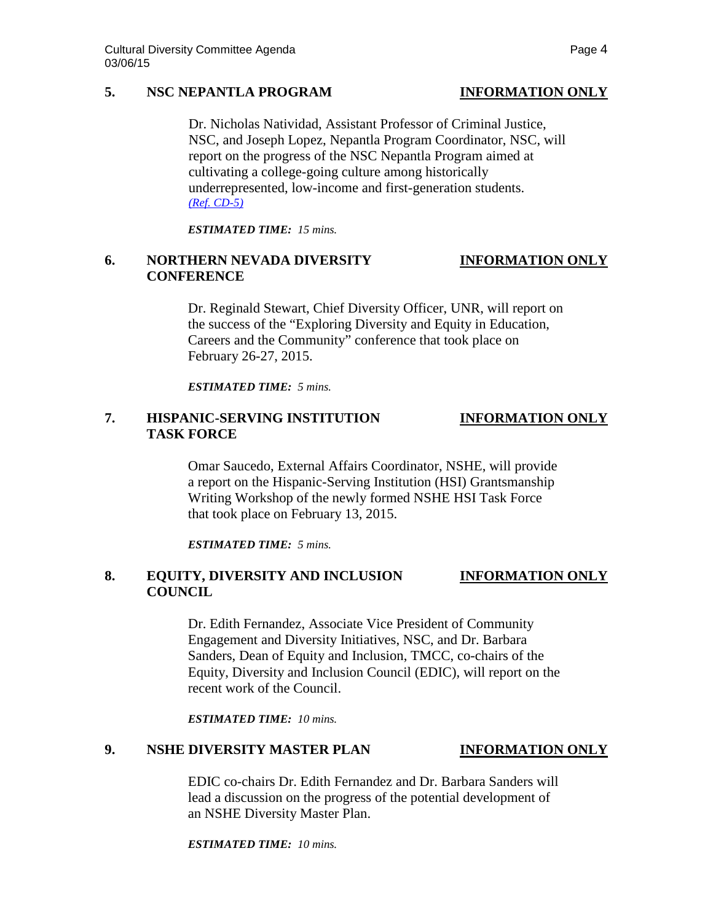# **5. NSC NEPANTLA PROGRAM INFORMATION ONLY**

Dr. Nicholas Natividad, Assistant Professor of Criminal Justice, NSC, and Joseph Lopez, Nepantla Program Coordinator, NSC, will report on the progress of the NSC Nepantla Program aimed at cultivating a college-going culture among historically underrepresented, low-income and first-generation students. *[\(Ref. CD-5\)](http://system.nevada.edu/tasks/sites/Nshe/assets/File/BoardOfRegents/Agendas/2015/mar-mtgs/cd-refs/CD-5.pdf)*

*ESTIMATED TIME: 15 mins.*

# **6. NORTHERN NEVADA DIVERSITY INFORMATION ONLY CONFERENCE**

Dr. Reginald Stewart, Chief Diversity Officer, UNR, will report on the success of the "Exploring Diversity and Equity in Education, Careers and the Community" conference that took place on February 26-27, 2015.

*ESTIMATED TIME: 5 mins.*

# **7. HISPANIC-SERVING INSTITUTION INFORMATION ONLY TASK FORCE**

Omar Saucedo, External Affairs Coordinator, NSHE, will provide a report on the Hispanic-Serving Institution (HSI) Grantsmanship Writing Workshop of the newly formed NSHE HSI Task Force that took place on February 13, 2015.

*ESTIMATED TIME: 5 mins.*

# **8. EQUITY, DIVERSITY AND INCLUSION INFORMATION ONLY COUNCIL**

Dr. Edith Fernandez, Associate Vice President of Community Engagement and Diversity Initiatives, NSC, and Dr. Barbara Sanders, Dean of Equity and Inclusion, TMCC, co-chairs of the Equity, Diversity and Inclusion Council (EDIC), will report on the recent work of the Council.

*ESTIMATED TIME: 10 mins.*

# **9. NSHE DIVERSITY MASTER PLAN INFORMATION ONLY**

EDIC co-chairs Dr. Edith Fernandez and Dr. Barbara Sanders will lead a discussion on the progress of the potential development of an NSHE Diversity Master Plan.

*ESTIMATED TIME: 10 mins.*